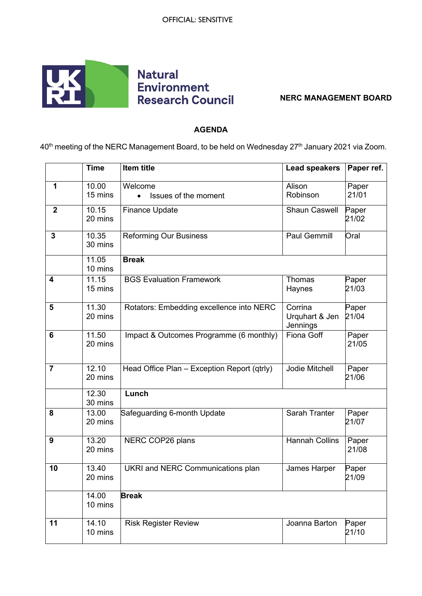

## **NERC MANAGEMENT BOARD**

## **AGENDA**

40<sup>th</sup> meeting of the NERC Management Board, to be held on Wednesday 27<sup>th</sup> January 2021 via Zoom.

|                | <b>Time</b>      | Item title                                   | <b>Lead speakers</b>                  | Paper ref.     |
|----------------|------------------|----------------------------------------------|---------------------------------------|----------------|
| 1              | 10.00<br>15 mins | Welcome<br>Issues of the moment<br>$\bullet$ | Alison<br>Robinson                    | Paper<br>21/01 |
| $\mathbf{2}$   | 10.15<br>20 mins | <b>Finance Update</b>                        | <b>Shaun Caswell</b>                  | Paper<br>21/02 |
| $\overline{3}$ | 10.35<br>30 mins | <b>Reforming Our Business</b>                | <b>Paul Gemmill</b>                   | Oral           |
|                | 11.05<br>10 mins | <b>Break</b>                                 |                                       |                |
| 4              | 11.15<br>15 mins | <b>BGS Evaluation Framework</b>              | Thomas<br>Haynes                      | Paper<br>21/03 |
| 5              | 11.30<br>20 mins | Rotators: Embedding excellence into NERC     | Corrina<br>Urquhart & Jen<br>Jennings | Paper<br>21/04 |
| 6              | 11.50<br>20 mins | Impact & Outcomes Programme (6 monthly)      | Fiona Goff                            | Paper<br>21/05 |
| $\overline{7}$ | 12.10<br>20 mins | Head Office Plan - Exception Report (qtrly)  | Jodie Mitchell                        | Paper<br>21/06 |
|                | 12.30<br>30 mins | Lunch                                        |                                       |                |
| 8              | 13.00<br>20 mins | Safeguarding 6-month Update                  | Sarah Tranter                         | Paper<br>21/07 |
| 9              | 13.20<br>20 mins | NERC COP26 plans                             | <b>Hannah Collins</b>                 | Paper<br>21/08 |
| 10             | 13.40<br>20 mins | <b>UKRI and NERC Communications plan</b>     | James Harper                          | Paper<br>21/09 |
|                | 14.00<br>10 mins | <b>Break</b>                                 |                                       |                |
| 11             | 14.10<br>10 mins | <b>Risk Register Review</b>                  | Joanna Barton                         | Paper<br>21/10 |